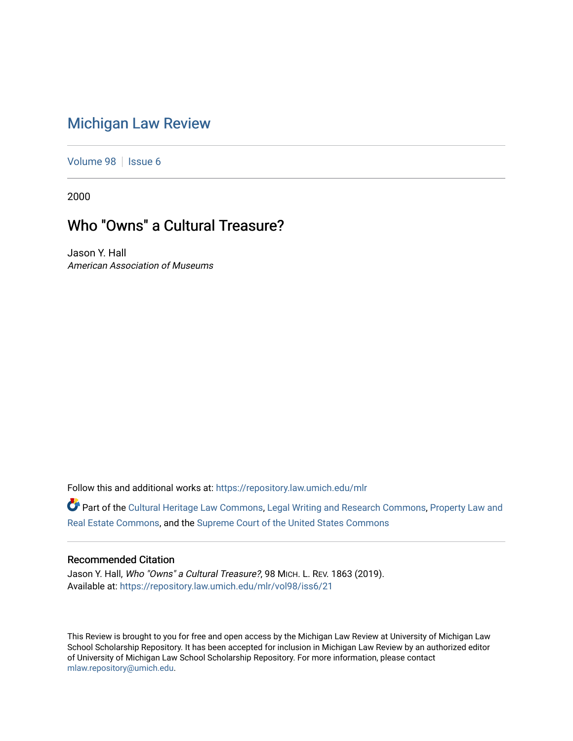# [Michigan Law Review](https://repository.law.umich.edu/mlr)

[Volume 98](https://repository.law.umich.edu/mlr/vol98) | [Issue 6](https://repository.law.umich.edu/mlr/vol98/iss6)

2000

# Who "Owns" a Cultural Treasure?

Jason Y. Hall American Association of Museums

Follow this and additional works at: [https://repository.law.umich.edu/mlr](https://repository.law.umich.edu/mlr?utm_source=repository.law.umich.edu%2Fmlr%2Fvol98%2Fiss6%2F21&utm_medium=PDF&utm_campaign=PDFCoverPages) 

Part of the [Cultural Heritage Law Commons](http://network.bepress.com/hgg/discipline/1384?utm_source=repository.law.umich.edu%2Fmlr%2Fvol98%2Fiss6%2F21&utm_medium=PDF&utm_campaign=PDFCoverPages), [Legal Writing and Research Commons](http://network.bepress.com/hgg/discipline/614?utm_source=repository.law.umich.edu%2Fmlr%2Fvol98%2Fiss6%2F21&utm_medium=PDF&utm_campaign=PDFCoverPages), [Property Law and](http://network.bepress.com/hgg/discipline/897?utm_source=repository.law.umich.edu%2Fmlr%2Fvol98%2Fiss6%2F21&utm_medium=PDF&utm_campaign=PDFCoverPages) [Real Estate Commons,](http://network.bepress.com/hgg/discipline/897?utm_source=repository.law.umich.edu%2Fmlr%2Fvol98%2Fiss6%2F21&utm_medium=PDF&utm_campaign=PDFCoverPages) and the [Supreme Court of the United States Commons](http://network.bepress.com/hgg/discipline/1350?utm_source=repository.law.umich.edu%2Fmlr%2Fvol98%2Fiss6%2F21&utm_medium=PDF&utm_campaign=PDFCoverPages)

### Recommended Citation

Jason Y. Hall, Who "Owns" a Cultural Treasure?, 98 MICH. L. REV. 1863 (2019). Available at: [https://repository.law.umich.edu/mlr/vol98/iss6/21](https://repository.law.umich.edu/mlr/vol98/iss6/21?utm_source=repository.law.umich.edu%2Fmlr%2Fvol98%2Fiss6%2F21&utm_medium=PDF&utm_campaign=PDFCoverPages) 

This Review is brought to you for free and open access by the Michigan Law Review at University of Michigan Law School Scholarship Repository. It has been accepted for inclusion in Michigan Law Review by an authorized editor of University of Michigan Law School Scholarship Repository. For more information, please contact [mlaw.repository@umich.edu.](mailto:mlaw.repository@umich.edu)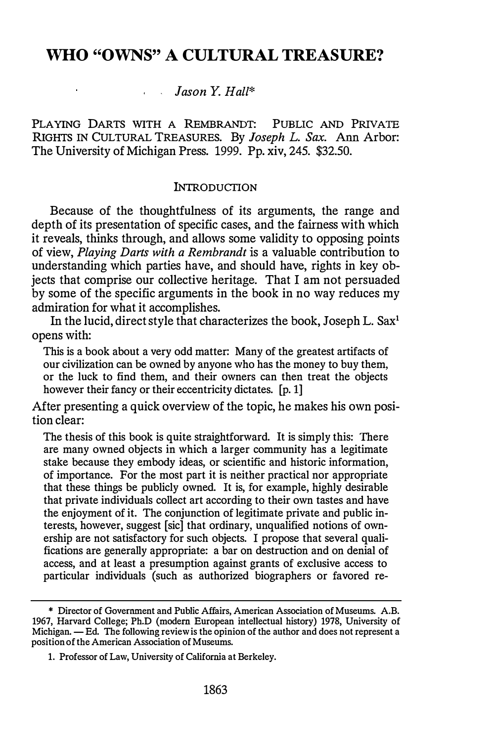## WHO "OWNS" A CULTURAL TREASURE?

#### - Jason Y. Hall\*

PLAYING DARTS WITH A REMBRANDT: PUBLIC AND PRIVATE RIGHTS IN CULTURAL TREASURES. By Joseph L. Sax. Ann Arbor: The University of Michigan Press. 1999. Pp. xiv, 245. \$32.50.

#### INTRODUCTION

Because of the thoughtfulness of its arguments, the range and depth of its presentation of specific cases, and the fairness with which it reveals, thinks through, and allows some validity to opposing points of view, Playing Darts with a Rembrandt is a valuable contribution to understanding which parties have, and should have, rights in key objects that comprise our collective heritage. That I am not persuaded by some of the specific arguments in the book in no way reduces my admiration for what it accomplishes.

In the lucid, direct style that characterizes the book, Joseph L.  $Sax^1$ opens with:

This is a book about a very odd matter: Many of the greatest artifacts of our civilization can be owned by anyone who has the money to buy them, or the luck to find them, and their owners can then treat the objects however their fancy or their eccentricity dictates. [p. 1]

After presenting a quick overview of the topic, he makes his own position clear:

The thesis of this book is quite straightforward. It is simply this: There are many owned objects in which a larger community has a legitimate stake because they embody ideas, or scientific and historic information, of importance. For the most part it is neither practical nor appropriate that these things be publicly owned. It is, for example, highly desirable that private individuals collect art according to their own tastes and have the enjoyment of it. The conjunction of legitimate private and public interests, however, suggest [sic] that ordinary, unqualified notions of ownership are not satisfactory for such objects. I propose that several qualifications are generally appropriate: a bar on destruction and on denial of access, and at least a presumption against grants of exclusive access to particular individuals (such as authorized biographers or favored re-

<sup>\*</sup> Director of Government and Public Affairs, American Association of Museums. A.B. 1967, Harvard College; Ph.D (modem European intellectual history) 1978, University of Michigan. - Ed. The following review is the opinion of the author and does not represent a position of the American Association of Museums.

<sup>1.</sup> Professor of Law, University of California at Berkeley.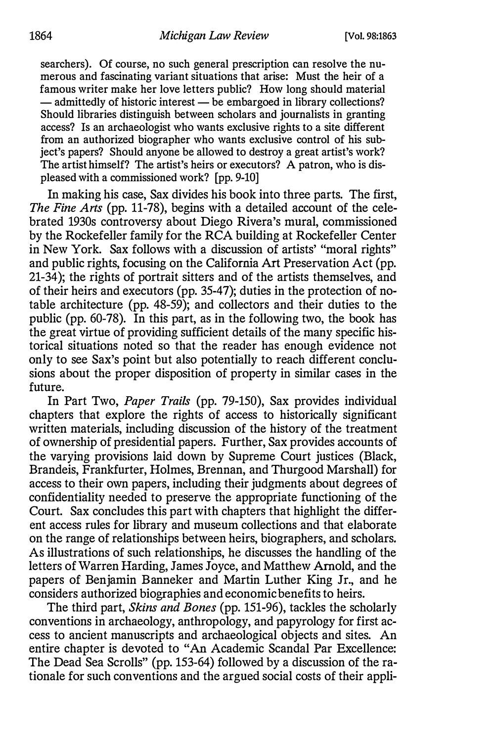searchers). Of course, no such general prescription can resolve the numerous and fascinating variant situations that arise: Must the heir of a famous writer make her love letters public? How long should material - admittedly of historic interest - be embargoed in library collections? Should libraries distinguish between scholars and journalists in granting access? Is an archaeologist who wants exclusive rights to a site different from an authorized biographer who wants exclusive control of his subject's papers? Should anyone be allowed to destroy a great artist's work? The artist himself? The artist's heirs or executors? A patron, who is displeased with a commissioned work? [pp. 9-10]

In making his case, Sax divides his book into three parts. The first, The Fine Arts (pp. 11-78), begins with a detailed account of the celebrated 1930s controversy about Diego Rivera's mural, commissioned by the Rockefeller family for the RCA building at Rockefeller Center in New York. Sax follows with a discussion of artists' "moral rights" and public rights, focusing on the California Art Preservation Act (pp. 21-34); the rights of portrait sitters and of the artists themselves, and of their heirs and executors (pp. 35-47); duties in the protection of notable architecture (pp. 48-59); and collectors and their duties to the public (pp. 60-78). In this part, as in the following two, the book has the great virtue of providing sufficient details of the many specific historical situations noted so that the reader has enough evidence not only to see Sax's point but also potentially to reach different conclusions about the proper disposition of property in similar cases in the future.

In Part Two, Paper Trails (pp. 79-150), Sax provides individual chapters that explore the rights of access to historically significant written materials, including discussion of the history of the treatment of ownership of presidential papers. Further, Sax provides accounts of the varying provisions laid down by Supreme Court justices (Black, Brandeis, Frankfurter, Holmes, Brennan, and Thurgood Marshall) for access to their own papers, including their judgments about degrees of confidentiality needed to preserve the appropriate functioning of the Court. Sax concludes this part with chapters that highlight the different access rules for library and museum collections and that elaborate on the range of relationships between heirs, biographers, and scholars. As illustrations of such relationships, he discusses the handling of the letters of Warren Harding, James Joyce, and Matthew Arnold, and the papers of Benjamin Banneker and Martin Luther King Jr., and he considers authorized biographies and economic benefits to heirs.

The third part, *Skins and Bones* (pp. 151-96), tackles the scholarly conventions in archaeology, anthropology, and papyrology for first access to ancient manuscripts and archaeological objects and sites. An entire chapter is devoted to "An Academic Scandal Par Excellence: The Dead Sea Scrolls" (pp. 153-64) followed by a discussion of the rationale for such conventions and the argued social costs of their appli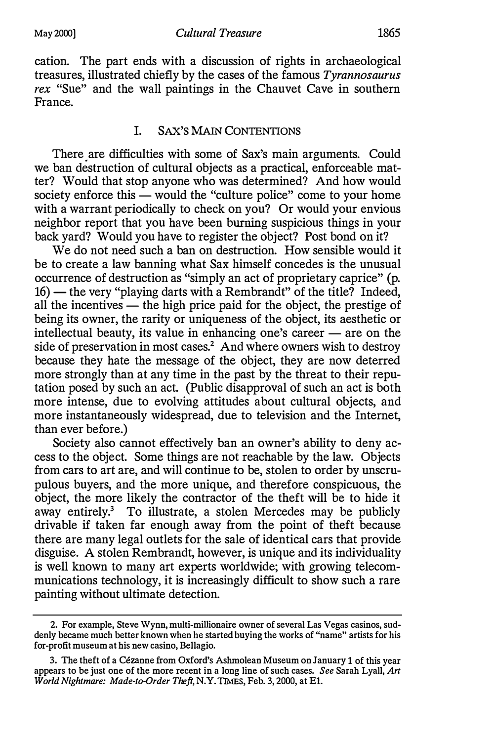cation. The part ends with a discussion of rights in archaeological treasures, illustrated chiefly by the cases of the famous Tyrannosaurus rex "Sue" and the wall paintings in the Chauvet Cave in southern France.

#### I. SAX'S MAIN CONTENTIONS

There are difficulties with some of Sax's main arguments. Could we ban destruction of cultural objects as a practical, enforceable matter? Would that stop anyone who was determined? And how would society enforce this — would the "culture police" come to your home with a warrant periodically to check on you? Or would your envious neighbor report that you have been burning suspicious things in your back yard? Would you have to register the object? Post bond on it?

We do not need such a ban on destruction. How sensible would it be to create a law banning what Sax himself concedes is the unusual occurrence of destruction as "simply an act of proprietary caprice" (p.  $16$ ) — the very "playing darts with a Rembrandt" of the title? Indeed, all the incentives  $-$  the high price paid for the object, the prestige of being its owner, the rarity or uniqueness of the object, its aesthetic or intellectual beauty, its value in enhancing one's career  $-$  are on the side of preservation in most cases.<sup>2</sup> And where owners wish to destroy because they hate the message of the object, they are now deterred more strongly than at any time in the past by the threat to their reputation posed by such an act. (Public disapproval of such an act is both more intense, due to evolving attitudes about cultural objects, and more instantaneously widespread, due to television and the Internet, than ever before.)

Society also cannot effectively ban an owner's ability to deny access to the object. Some things are not reachable by the law. Objects from cars to art are, and will continue to be, stolen to order by unscrupulous buyers, and the more unique, and therefore conspicuous, the object, the more likely the contractor of the theft will be to hide it away entirely.3 To illustrate, a stolen Mercedes may be publicly drivable if taken far enough away from the point of theft because there are many legal outlets for the sale of identical cars that provide disguise. A stolen Rembrandt, however, is unique and its individuality is well known to many art experts worldwide; with growing telecommunications technology, it is increasingly difficult to show such a rare painting without ultimate detection.

<sup>2.</sup> For example, Steve Wynn, multi-millionaire owner of several Las Vegas casinos, suddenly became much better known when he started buying the works of "name" artists for his for-profit museum at his new casino, Bellagio.

<sup>3.</sup> The theft of a Cézanne from Oxford's Ashmolean Museum on January 1 of this year appears to be just one of the more recent in a long line of such cases. See Sarah Lyall, Art World Nightmare: Made-to-Order Theft, N.Y. TIMES, Feb. 3, 2000, at El.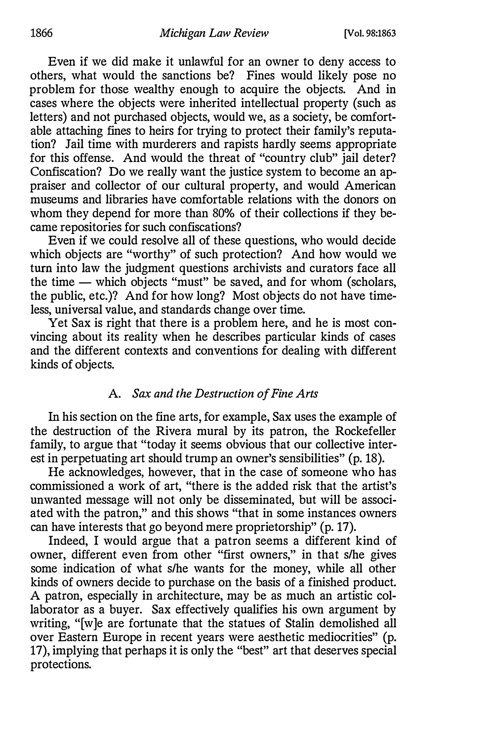Even if we did make it unlawful for an owner to deny access to others, what would the sanctions be? Fines would likely pose no problem for those wealthy enough to acquire the objects. And in cases where the objects were inherited intellectual property (such as letters) and not purchased objects, would we, as a society, be comfortable attaching fines to heirs for trying to protect their family's reputation? Jail time with murderers and rapists hardly seems appropriate for this offense. And would the threat of "country club" jail deter? Confiscation? Do we really want the justice system to become an appraiser and collector of our cultural property, and would American museums and libraries have comfortable relations with the donors on whom they depend for more than 80% of their collections if they became repositories for such confiscations?

Even if we could resolve all of these questions, who would decide which objects are "worthy" of such protection? And how would we turn into law the judgment questions archivists and curators face all the time — which objects "must" be saved, and for whom (scholars, the public, etc.)? And for how long? Most objects do not have timeless, universal value, and standards change over time.

Yet Sax is right that there is a problem here, and he is most convincing about its reality when he describes particular kinds of cases and the different contexts and conventions for dealing with different kinds of objects.

#### A. Sax and the Destruction of Fine Arts

In his section on the fine arts, for example, Sax uses the example of the destruction of the Rivera mural by its patron, the Rockefeller family, to argue that "today it seems obvious that our collective interest in perpetuating art should trump an owner's sensibilities" (p. 18).

He acknowledges, however, that in the case of someone who has commissioned a work of art, "there is the added risk that the artist's unwanted message will not only be disseminated, but will be associated with the patron," and this shows "that in some instances owners can have interests that go beyond mere proprietorship" (p. 17).

Indeed, I would argue that a patron seems a different kind of owner, different even from other "first owners," in that s/he gives some indication of what s/he wants for the money, while all other kinds of owners decide to purchase on the basis of a finished product. A patron, especially in architecture, may be as much an artistic collaborator as a buyer. Sax effectively qualifies his own argument by writing, "[w]e are fortunate that the statues of Stalin demolished all over Eastern Europe in recent years were aesthetic mediocrities" (p. 17), implying that perhaps it is only the "best" art that deserves special protections.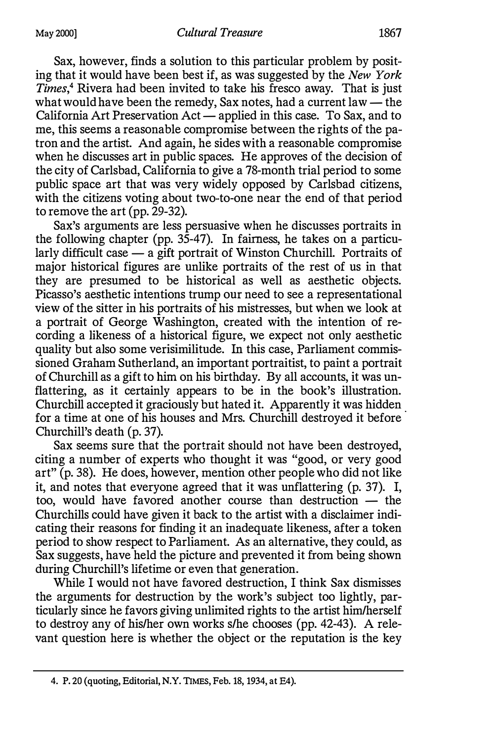Sax, however, finds a solution to this particular problem by positing that it would have been best if, as was suggested by the New York Times,<sup>4</sup> Rivera had been invited to take his fresco away. That is just what would have been the remedy, Sax notes, had a current  $law$ — the California Art Preservation Act — applied in this case. To Sax, and to me, this seems a reasonable compromise between the rights of the patron and the artist. And again, he sides with a reasonable compromise when he discusses art in public spaces. He approves of the decision of the city of Carlsbad, California to give a 78-month trial period to some public space art that was very widely opposed by Carlsbad citizens, with the citizens voting about two-to-one near the end of that period to remove the art (pp. 29-32).

Sax's arguments are less persuasive when he discusses portraits in the following chapter (pp. 35-47). In fairness, he takes on a particularly difficult case  $-$  a gift portrait of Winston Churchill. Portraits of major historical figures are unlike portraits of the rest of us in that they are presumed to be historical as well as aesthetic objects. Picasso's aesthetic intentions trump our need to see a representational view of the sitter in his portraits of his mistresses, but when we look at a portrait of George Washington, created with the intention of recording a likeness of a historical figure, we expect not only aesthetic quality but also some verisimilitude. In this case, Parliament commissioned Graham Sutherland, an important portraitist, to paint a portrait of Churchill as a gift to him on his birthday. By all accounts, it was unflattering, as it certainly appears to be in the book's illustration. Churchill accepted it graciously but hated it. Apparently it was hidden for a time at one of his houses and Mrs. Churchill destroyed it before Churchill's death (p. 37).

Sax seems sure that the portrait should not have been destroyed, citing a number of experts who thought it was "good, or very good art"  $(p. 38)$ . He does, however, mention other people who did not like it, and notes that everyone agreed that it was unflattering (p. 37). I, too, would have favored another course than destruction  $-$  the Churchills could have given it back to the artist with a disclaimer indicating their reasons for finding it an inadequate likeness, after a token period to show respect to Parliament. As an alternative, they could, as Sax suggests, have held the picture and prevented it from being shown during Churchill's lifetime or even that generation.

While I would not have favored destruction, I think Sax dismisses the arguments for destruction by the work's subject too lightly, particularly since he favors giving unlimited rights to the artist him/herself to destroy any of his/her own works s/he chooses (pp. 42-43). A relevant question here is whether the object or the reputation is the key

<sup>4.</sup> P. 20 (quoting, Editorial, N.Y. TIMES, Feb. 18, 1934, at E4).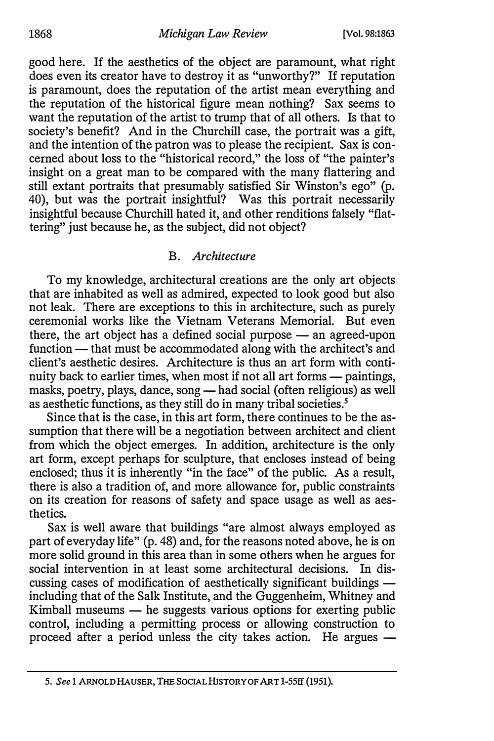good here. If the aesthetics of the object are paramount, what right does even its creator have to destroy it as "unworthy?" If reputation is paramount, does the reputation of the artist mean everything and the reputation of the historical figure mean nothing? Sax seems to want the reputation of the artist to trump that of all others. Is that to society's benefit? And in the Churchill case, the portrait was a gift, and the intention of the patron was to please the recipient. Sax is concerned about loss to the "historical record," the loss of "the painter's insight on a great man to be compared with the many flattering and still extant portraits that presumably satisfied Sir Winston's ego" (p. 40), but was the portrait insightful? Was this portrait necessarily insightful because Churchill hated it, and other renditions falsely "flattering" just because he, as the subject, did not object?

### B. Architecture

To my knowledge, architectural creations are the only art objects that are inhabited as well as admired, expected to look good but also not leak. There are exceptions to this in architecture, such as purely ceremonial works like the Vietnam Veterans Memorial. But even there, the art object has a defined social purpose - an agreed-upon function  $-$  that must be accommodated along with the architect's and client's aesthetic desires. Architecture is thus an art form with continuity back to earlier times, when most if not all art forms — paintings, masks, poetry, plays, dance, song — had social (often religious) as well as aesthetic functions, as they still do in many tribal societies.<sup>5</sup>

Since that is the case, in this art form, there continues to be the assumption that there will be a negotiation between architect and client from which the object emerges. In addition, architecture is the only art form, except perhaps for sculpture, that encloses instead of being enclosed; thus it is inherently "in the face" of the public. As a result, there is also a tradition of, and more allowance for, public constraints on its creation for reasons of safety and space usage as well as aesthetics.

Sax is well aware that buildings "are almost always employed as part of everyday life" (p. 48) and, for the reasons noted above, he is on more solid ground in this area than in some others when he argues for social intervention in at least some architectural decisions. In discussing cases of modification of aesthetically significant buildings including that of the Salk Institute, and the Guggenheim, Whitney and  $Kimball$  museums  $-$  he suggests various options for exerting public control, including a permitting process or allowing construction to proceed after a period unless the city takes action. He argues  $-$ 

<sup>5.</sup> See 1 ARNOLD HAUSER, THE SOCIAL HISTORY OF ART l-55ff (1951 ).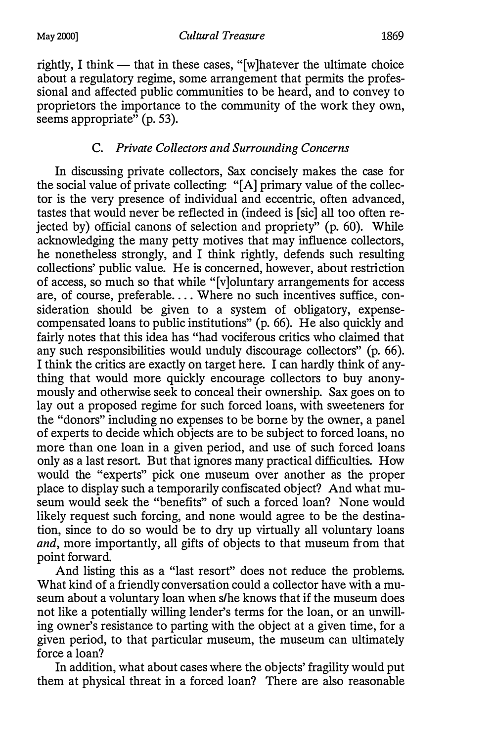rightly, I think  $-$  that in these cases, "[w] hatever the ultimate choice

about a regulatory regime, some arrangement that permits the professional and affected public communities to be heard, and to convey to proprietors the importance to the community of the work they own, seems appropriate"  $(p. 53)$ .

## C. Private Collectors and Surrounding Concerns

In discussing private collectors, Sax concisely makes the case for the social value of private collecting: "[A] primary value of the collector is the very presence of individual and eccentric, often advanced, tastes that would never be reflected in (indeed is [sic] all too often rejected by) official canons of selection and propriety" (p. 60). While acknowledging the many petty motives that may influence collectors, he nonetheless strongly, and I think rightly, defends such resulting collections' public value. He is concerned, however, about restriction of access, so much so that while "[v]oluntary arrangements for access are, of course, preferable.... Where no such incentives suffice, consideration should be given to a system of obligatory, expensecompensated loans to public institutions" (p. 66). He also quickly and fairly notes that this idea has "had vociferous critics who claimed that any such responsibilities would unduly discourage collectors" (p. 66). I think the critics are exactly on target here. I can hardly think of anything that would more quickly encourage collectors to buy anonymously and otherwise seek to conceal their ownership. Sax goes on to lay out a proposed regime for such forced loans, with sweeteners for the "donors" including no expenses to be borne by the owner, a panel of experts to decide which objects are to be subject to forced loans, no more than one loan in a given period, and use of such forced loans only as a last resort. But that ignores many practical difficulties. How would the "experts" pick one museum over another as the proper place to display such a temporarily confiscated object? And what museum would seek the "benefits" of such a forced loan? None would likely request such forcing, and none would agree to be the destination, since to do so would be to dry up virtually all voluntary loans and, more importantly, all gifts of objects to that museum from that point forward.

And listing this as a "last resort" does not reduce the problems. What kind of a friendly conversation could a collector have with a museum about a voluntary loan when s/he knows that if the museum does not like a potentially willing lender's terms for the loan, or an unwilling owner's resistance to parting with the object at a given time, for a given period, to that particular museum, the museum can ultimately force a loan?

In addition, what about cases where the objects' fragility would put them at physical threat in a forced loan? There are also reasonable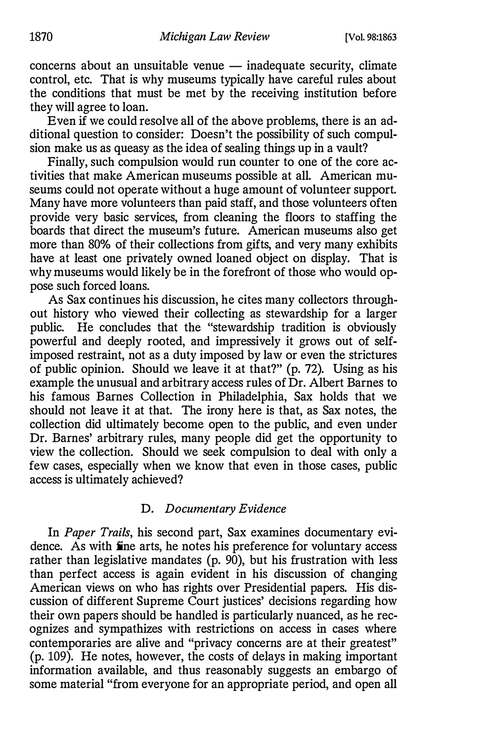$concerns$  about an unsuitable venue  $-$  inadequate security, climate control, etc. That is why museums typically have careful rules about the conditions that must be met by the receiving institution before they will agree to loan.

Even if we could resolve all of the above problems, there is an additional question to consider: Doesn't the possibility of such compulsion make us as queasy as the idea of sealing things up in a vault?

Finally, such compulsion would run counter to one of the core activities that make American museums possible at all. American museums could not operate without a huge amount of volunteer support. Many have more volunteers than paid staff, and those volunteers often provide very basic services, from cleaning the floors to staffing the boards that direct the museum's future. American museums also get more than 80% of their collections from gifts, and very many exhibits have at least one privately owned loaned object on display. That is why museums would likely be in the forefront of those who would oppose such forced loans.

As Sax continues his discussion, he cites many collectors throughout history who viewed their collecting as stewardship for a larger public. He concludes that the "stewardship tradition is obviously powerful and deeply rooted, and impressively it grows out of selfimposed restraint, not as a duty imposed by law or even the strictures of public opinion. Should we leave it at that?" (p. 72). Using as his example the unusual and arbitrary access rules of  $\overline{D}$ r. Albert Barnes to his famous Barnes Collection in Philadelphia, Sax holds that we should not leave it at that. The irony here is that, as Sax notes, the collection did ultimately become open to the public, and even under Dr. Barnes' arbitrary rules, many people did get the opportunity to view the collection. Should we seek compulsion to deal with only a few cases, especially when we know that even in those cases, public access is ultimately achieved?

#### D. Documentary Evidence

In Paper Trails, his second part, Sax examines documentary evidence. As with fine arts, he notes his preference for voluntary access rather than legislative mandates (p.  $90$ ), but his frustration with less than perfect access is again evident in his discussion of changing American views on who has rights over Presidential papers. His discussion of different Supreme Court justices' decisions regarding how their own papers should be handled is particularly nuanced, as he recognizes and sympathizes with restrictions on access in cases where contemporaries are alive and "privacy concerns are at their greatest" (p. 109). He notes, however, the costs of delays in making important information available, and thus reasonably suggests an embargo of some material "from everyone for an appropriate period, and open all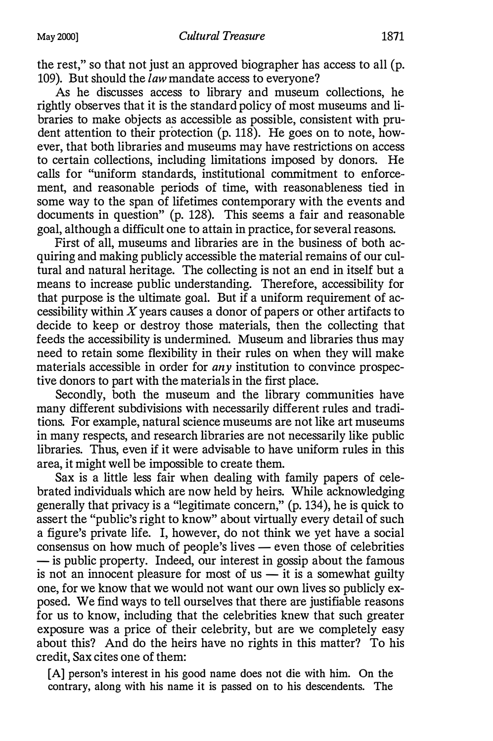the rest," so that not just an approved biographer has access to all (p. 109). But should the *law* mandate access to everyone?

As he discusses access to library and museum collections, he rightly observes that it is the standard policy of most museums and libraries to make objects as accessible as possible, consistent with prudent attention to their protection (p. 118). He goes on to note, however, that both libraries and museums may have restrictions on access to certain collections, including limitations imposed by donors. He calls for "uniform standards, institutional commitment to enforcement, and reasonable periods of time, with reasonableness tied in some way to the span of lifetimes contemporary with the events and documents in question" (p. 128). This seems a fair and reasonable goal, although a difficult one to attain in practice, for several reasons.

First of all, museums and libraries are in the business of both acquiring and making publicly accessible the material remains of our cultural and natural heritage. The collecting is not an end in itself but a means to increase public understanding. Therefore, accessibility for that purpose is the ultimate goal. But if a uniform requirement of accessibility within  $X$  years causes a donor of papers or other artifacts to decide to keep or destroy those materials, then the collecting that feeds the accessibility is undermined. Museum and libraries thus may need to retain some flexibility in their rules on when they will make materials accessible in order for any institution to convince prospective donors to part with the materials in the first place.

Secondly, both the museum and the library communities have many different subdivisions with necessarily different rules and traditions. For example, natural science museums are not like art museums in many respects, and research libraries are not necessarily like public libraries. Thus, even if it were advisable to have uniform rules in this area, it might well be impossible to create them.

Sax is a little less fair when dealing with family papers of celebrated individuals which are now held by heirs. While acknowledging generally that privacy is a "legitimate concern," (p. 134), he is quick to assert the "public's right to know" about virtually every detail of such a figure's private life. I, however, do not think we yet have a social consensus on how much of people's lives — even those of celebrities  $-$  is public property. Indeed, our interest in gossip about the famous is not an innocent pleasure for most of  $us - it$  is a somewhat guilty one, for we know that we would not want our own lives so publicly exposed. We find ways to tell ourselves that there are justifiable reasons for us to know, including that the celebrities knew that such greater exposure was a price of their celebrity, but are we completely easy about this? And do the heirs have no rights in this matter? To his credit, Sax cites one of them:

[A] person's interest in his good name does not die with him. On the contrary, along with his name it is passed on to his descendents. The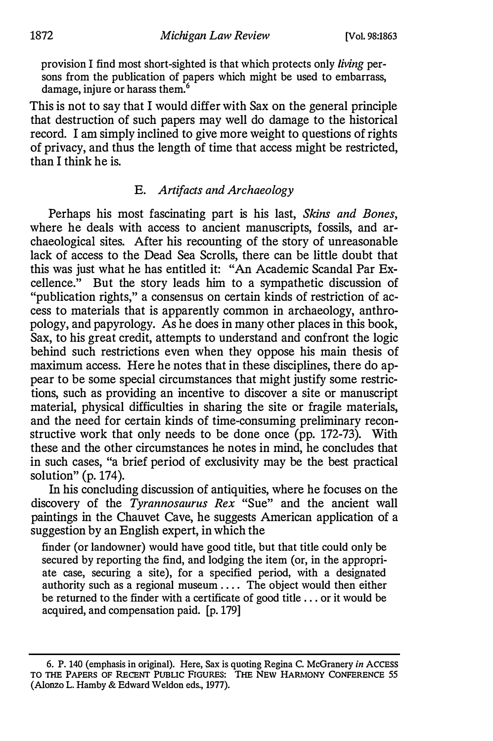provision I find most short-sighted is that which protects only living persons from the publication of papers which might be used to embarrass, damage, injure or harass them.<sup>6</sup>

This is not to say that I would differ with Sax on the general principle that destruction of such papers may well do damage to the historical record. I am simply inclined to give more weight to questions of rights of privacy, and thus the length of time that access might be restricted, than I think he is.

#### E. Artifacts and Archaeology

Perhaps his most fascinating part is his last, Skins and Bones, where he deals with access to ancient manuscripts, fossils, and archaeological sites. After his recounting of the story of unreasonable lack of access to the Dead Sea Scrolls, there can be little doubt that this was just what he has entitled it: "An Academic Scandal Par Excellence." But the story leads him to a sympathetic discussion of "publication rights," a consensus on certain kinds of restriction of access to materials that is apparently common in archaeology, anthropology, and papyrology. As he does in many other places in this book, Sax, to his great credit, attempts to understand and confront the logic behind such restrictions even when they oppose his main thesis of maximum access. Here he notes that in these disciplines, there do appear to be some special circumstances that might justify some restrictions, such as providing an incentive to discover a site or manuscript material, physical difficulties in sharing the site or fragile materials, and the need for certain kinds of time-consuming preliminary reconstructive work that only needs to be done once  $(pp. 172-73)$ . With these and the other circumstances he notes in mind, he concludes that in such cases, "a brief period of exclusivity may be the best practical solution" (p. 174).

In his concluding discussion of antiquities, where he focuses on the discovery of the Tyrannosaurus Rex "Sue" and the ancient wall paintings in the Chauvet Cave, he suggests American application of a suggestion by an English expert, in which the

finder (or landowner) would have good title, but that title could only be secured by reporting the find, and lodging the item (or, in the appropriate case, securing a site), for a specified period, with a designated authority such as a regional museum  $\ldots$ . The object would then either be returned to the finder with a certificate of good title ... or it would be acquired, and compensation paid. [p. 179]

<sup>6.</sup> P. 140 (emphasis in original). Here, Sax is quoting Regina C. McGranery in ACCESS TO THE PAPERS OF RECENT PUBLIC FIGURES: THE NEW HARMONY CONFERENCE 55 (Alonzo L. Hamby & Edward Weldon eds., 1977).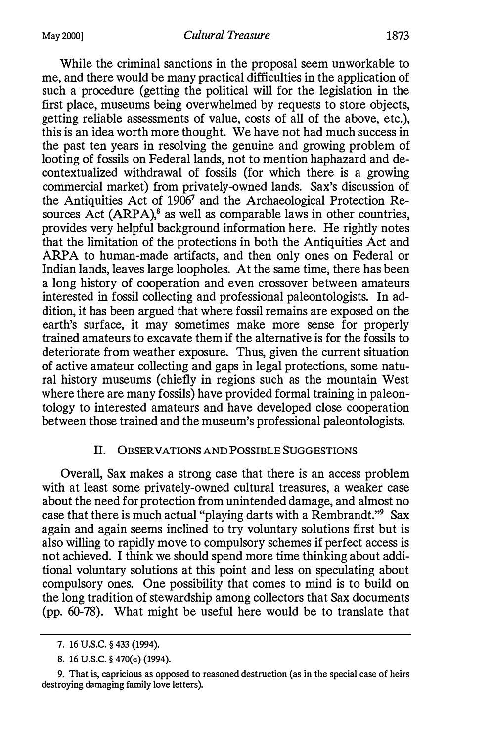While the criminal sanctions in the proposal seem unworkable to me, and there would be many practical difficulties in the application of such a procedure (getting the political will for the legislation in the first place, museums being overwhelmed by requests to store objects, getting reliable assessments of value, costs of all of the above, etc.), this is an idea worth more thought. We have not had much success in the past ten years in resolving the genuine and growing problem of looting of fossils on Federal lands, not to mention haphazard and decontextualized withdrawal of fossils (for which there is a growing commercial market) from privately-owned lands. Sax's discussion of the Antiquities Act of 1906'7 and the Archaeological Protection Resources Act  $(ARPA)$ ,<sup>8</sup> as well as comparable laws in other countries, provides very helpful background information here. He rightly notes that the limitation of the protections in both the Antiquities Act and ARPA to human-made artifacts, and then only ones on Federal or Indian lands, leaves large loopholes. At the same time, there has been a long history of cooperation and even crossover between amateurs interested in fossil collecting and professional paleontologists. In addition, it has been argued that where fossil remains are exposed on the earth's surface, it may sometimes make more sense for properly trained amateurs to excavate them if the alternative is for the fossils to deteriorate from weather exposure. Thus, given the current situation of active amateur collecting and gaps in legal protections, some natural history museums (chiefly in regions such as the mountain West where there are many fossils) have provided formal training in paleontology to interested amateurs and have developed close cooperation between those trained and the museum's professional paleontologists.

#### II. OBSERVATIONS AND POSSIBLE SUGGESTIONS

Overall, Sax makes a strong case that there is an access problem with at least some privately-owned cultural treasures, a weaker case about the need for protection from unintended damage, and almost no case that there is much actual "playing darts with a Rembrandt."9 Sax again and again seems inclined to try voluntary solutions first but is also willing to rapidly move to compulsory schemes if perfect access is not achieved. I think we should spend more time thinking about additional voluntary solutions at this point and less on speculating about compulsory ones. One possibility that comes to mind is to build on the long tradition of stewardship among collectors that Sax documents (pp. 60-78). What might be useful here would be to translate that

<sup>7. 16</sup> u.s.c. § 433 (1994).

<sup>8. 16</sup> U.S.C. § 470(e) (1994).

<sup>9.</sup> That is, capricious as opposed to reasoned destruction (as in the special case of heirs destroying damaging family love letters).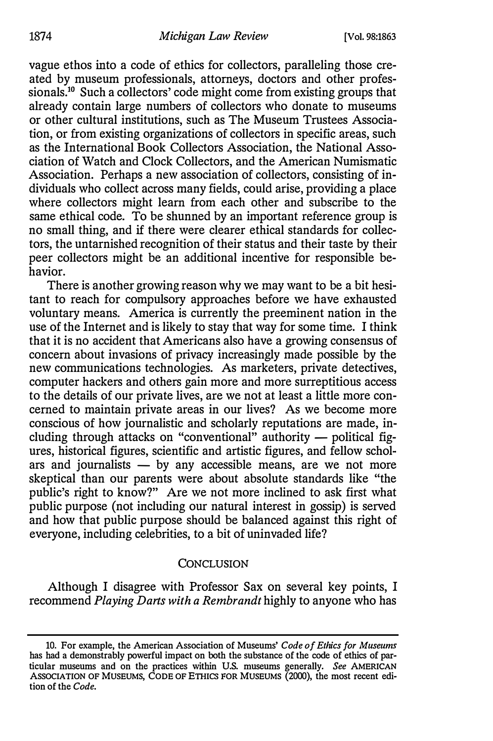vague ethos into a code of ethics for collectors, paralleling those created by museum professionals, attorneys, doctors and other professionals.10 Such a collectors' code might come from existing groups that already contain large numbers of collectors who donate to museums or other cultural institutions, such as The Museum Trustees Association, or from existing organizations of collectors in specific areas, such as the International Book Collectors Association, the National Association of Watch and Clock Collectors, and the American Numismatic Association. Perhaps a new association of collectors, consisting of individuals who collect across many fields, could arise, providing a place where collectors might learn from each other and subscribe to the same ethical code. To be shunned by an important reference group is no small thing, and if there were clearer ethical standards for collectors, the untarnished recognition of their status and their taste by their peer collectors might be an additional incentive for responsible behavior.

There is another growing reason why we may want to be a bit hesitant to reach for compulsory approaches before we have exhausted voluntary means. America is currently the preeminent nation in the use of the Internet and is likely to stay that way for some time. I think that it is no accident that Americans also have a growing consensus of concern about invasions of privacy increasingly made possible by the new communications technologies. As marketers, private detectives, computer hackers and others gain more and more surreptitious access to the details of our private lives, are we not at least a little more concerned to maintain private areas in our lives? As we become more conscious of how journalistic and scholarly reputations are made, including through attacks on "conventional" authority - political figures, historical figures, scientific and artistic figures, and fellow scholars and journalists  $-$  by any accessible means, are we not more skeptical than our parents were about absolute standards like "the public's right to know?" Are we not more inclined to ask first what public purpose (not including our natural interest in gossip) is served and how that public purpose should be balanced against this right of everyone, including celebrities, to a bit of uninvaded life?

#### **CONCLUSION**

Although I disagree with Professor Sax on several key points, I recommend Playing Darts with a Rembrandt highly to anyone who has

<sup>10.</sup> For example, the American Association of Museums' Code of Ethics for Museums has had a demonstrably powerful impact on both the substance of the code of ethics of particular museums and on the practices within U.S. museums generally. See AMERICAN ASSOCIATION OF MUSEUMS, CODE OF ETHICS FOR MUSEUMS (2000), the most recent edition of the Code.